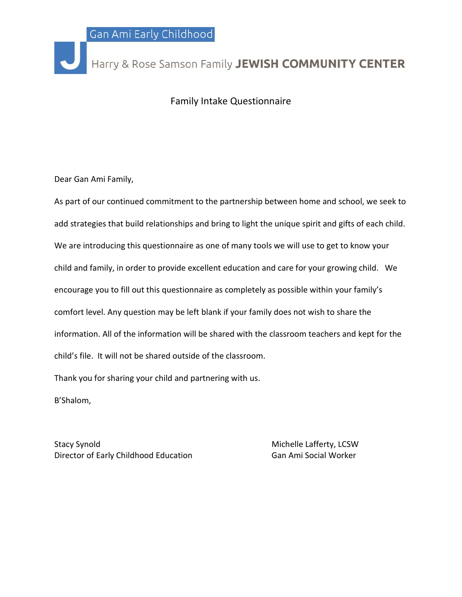

## Harry & Rose Samson Family JEWISH COMMUNITY CENTER

## Family Intake Questionnaire

Dear Gan Ami Family,

As part of our continued commitment to the partnership between home and school, we seek to add strategies that build relationships and bring to light the unique spirit and gifts of each child. We are introducing this questionnaire as one of many tools we will use to get to know your child and family, in order to provide excellent education and care for your growing child. We encourage you to fill out this questionnaire as completely as possible within your family's comfort level. Any question may be left blank if your family does not wish to share the information. All of the information will be shared with the classroom teachers and kept for the child's file. It will not be shared outside of the classroom.

Thank you for sharing your child and partnering with us.

B'Shalom,

Stacy Synold **Michelle Lafferty, LCSW** Director of Early Childhood Education Gan Ami Social Worker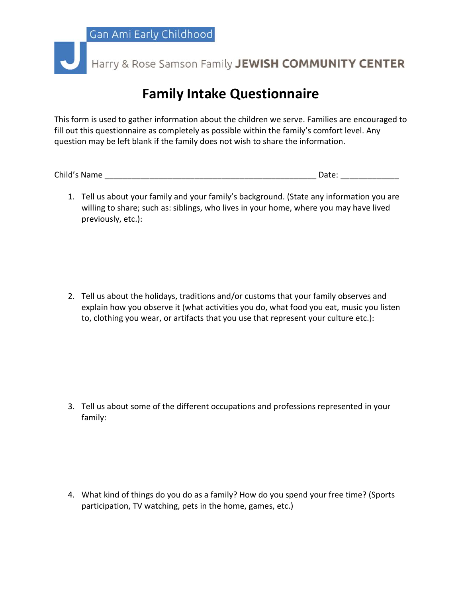Harry & Rose Samson Family JEWISH COMMUNITY CENTER

## **Family Intake Questionnaire**

This form is used to gather information about the children we serve. Families are encouraged to fill out this questionnaire as completely as possible within the family's comfort level. Any question may be left blank if the family does not wish to share the information.

Child's Name \_\_\_\_\_\_\_\_\_\_\_\_\_\_\_\_\_\_\_\_\_\_\_\_\_\_\_\_\_\_\_\_\_\_\_\_\_\_\_\_\_\_\_\_\_\_\_ Date: \_\_\_\_\_\_\_\_\_\_\_\_\_

1. Tell us about your family and your family's background. (State any information you are willing to share; such as: siblings, who lives in your home, where you may have lived previously, etc.):

2. Tell us about the holidays, traditions and/or customs that your family observes and explain how you observe it (what activities you do, what food you eat, music you listen to, clothing you wear, or artifacts that you use that represent your culture etc.):

3. Tell us about some of the different occupations and professions represented in your family:

4. What kind of things do you do as a family? How do you spend your free time? (Sports participation, TV watching, pets in the home, games, etc.)